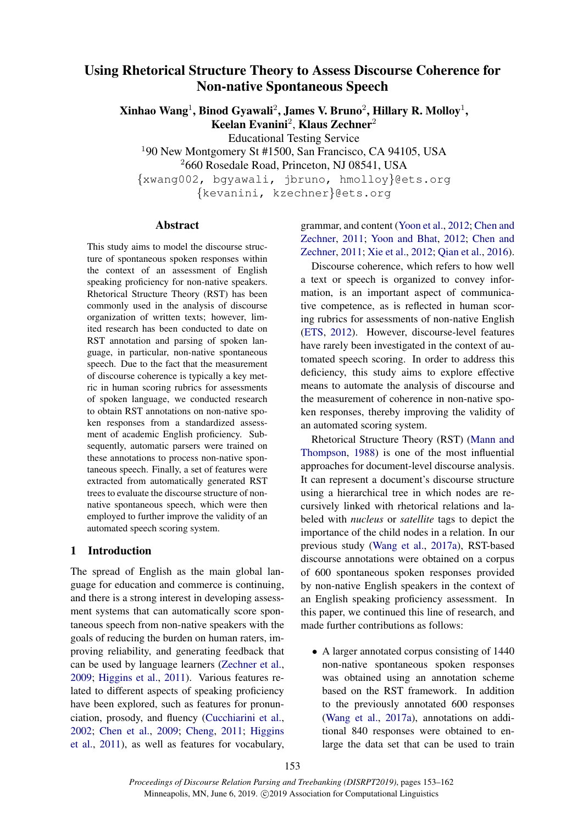# Using Rhetorical Structure Theory to Assess Discourse Coherence for Non-native Spontaneous Speech

Xinhao Wang $^1$ , Binod Gyawali $^2$ , James V. Bruno $^2$ , Hillary R. Molloy $^1,$ Keelan Evanini<sup>2</sup>, Klaus Zechner<sup>2</sup>

Educational Testing Service

<sup>1</sup>90 New Montgomery St #1500, San Francisco, CA 94105, USA

<sup>2</sup>660 Rosedale Road, Princeton, NJ 08541, USA

{xwang002, bgyawali, jbruno, hmolloy}@ets.org

{kevanini, kzechner}@ets.org

#### Abstract

This study aims to model the discourse structure of spontaneous spoken responses within the context of an assessment of English speaking proficiency for non-native speakers. Rhetorical Structure Theory (RST) has been commonly used in the analysis of discourse organization of written texts; however, limited research has been conducted to date on RST annotation and parsing of spoken language, in particular, non-native spontaneous speech. Due to the fact that the measurement of discourse coherence is typically a key metric in human scoring rubrics for assessments of spoken language, we conducted research to obtain RST annotations on non-native spoken responses from a standardized assessment of academic English proficiency. Subsequently, automatic parsers were trained on these annotations to process non-native spontaneous speech. Finally, a set of features were extracted from automatically generated RST trees to evaluate the discourse structure of nonnative spontaneous speech, which were then employed to further improve the validity of an automated speech scoring system.

# 1 Introduction

The spread of English as the main global language for education and commerce is continuing, and there is a strong interest in developing assessment systems that can automatically score spontaneous speech from non-native speakers with the goals of reducing the burden on human raters, improving reliability, and generating feedback that can be used by language learners [\(Zechner et al.,](#page-9-0) [2009;](#page-9-0) [Higgins et al.,](#page-8-0) [2011\)](#page-8-0). Various features related to different aspects of speaking proficiency have been explored, such as features for pronunciation, prosody, and fluency [\(Cucchiarini et al.,](#page-8-1) [2002;](#page-8-1) [Chen et al.,](#page-8-2) [2009;](#page-8-2) [Cheng,](#page-8-3) [2011;](#page-8-3) [Higgins](#page-8-0) [et al.,](#page-8-0) [2011\)](#page-8-0), as well as features for vocabulary, grammar, and content [\(Yoon et al.,](#page-9-1) [2012;](#page-9-1) [Chen and](#page-8-4) [Zechner,](#page-8-4) [2011;](#page-8-4) [Yoon and Bhat,](#page-9-2) [2012;](#page-9-2) [Chen and](#page-8-4) [Zechner,](#page-8-4) [2011;](#page-8-4) [Xie et al.,](#page-9-3) [2012;](#page-9-3) [Qian et al.,](#page-9-4) [2016\)](#page-9-4).

Discourse coherence, which refers to how well a text or speech is organized to convey information, is an important aspect of communicative competence, as is reflected in human scoring rubrics for assessments of non-native English [\(ETS,](#page-8-5) [2012\)](#page-8-5). However, discourse-level features have rarely been investigated in the context of automated speech scoring. In order to address this deficiency, this study aims to explore effective means to automate the analysis of discourse and the measurement of coherence in non-native spoken responses, thereby improving the validity of an automated scoring system.

Rhetorical Structure Theory (RST) [\(Mann and](#page-8-6) [Thompson,](#page-8-6) [1988\)](#page-8-6) is one of the most influential approaches for document-level discourse analysis. It can represent a document's discourse structure using a hierarchical tree in which nodes are recursively linked with rhetorical relations and labeled with *nucleus* or *satellite* tags to depict the importance of the child nodes in a relation. In our previous study [\(Wang et al.,](#page-9-5) [2017a\)](#page-9-5), RST-based discourse annotations were obtained on a corpus of 600 spontaneous spoken responses provided by non-native English speakers in the context of an English speaking proficiency assessment. In this paper, we continued this line of research, and made further contributions as follows:

• A larger annotated corpus consisting of 1440 non-native spontaneous spoken responses was obtained using an annotation scheme based on the RST framework. In addition to the previously annotated 600 responses [\(Wang et al.,](#page-9-5) [2017a\)](#page-9-5), annotations on additional 840 responses were obtained to enlarge the data set that can be used to train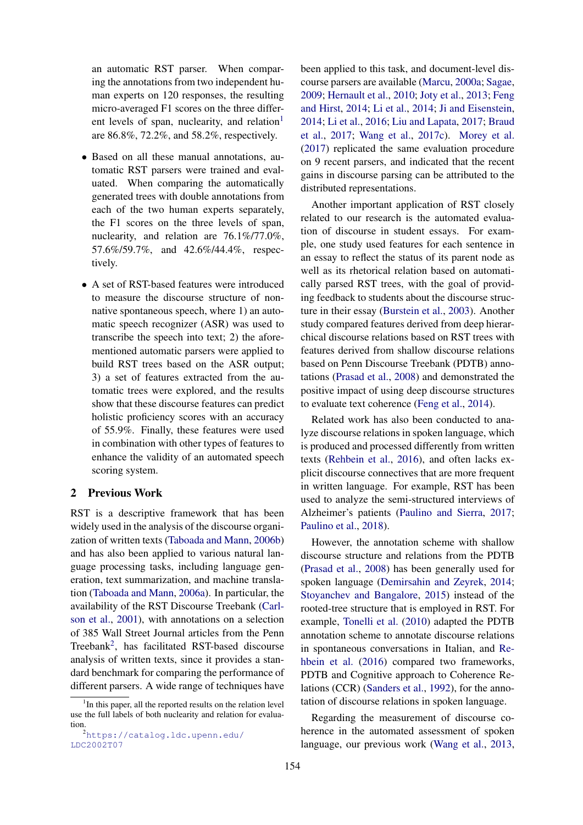an automatic RST parser. When comparing the annotations from two independent human experts on 120 responses, the resulting micro-averaged F1 scores on the three differ-ent levels of span, nuclearity, and relation<sup>[1](#page-1-0)</sup> are 86.8%, 72.2%, and 58.2%, respectively.

- Based on all these manual annotations, automatic RST parsers were trained and evaluated. When comparing the automatically generated trees with double annotations from each of the two human experts separately, the F1 scores on the three levels of span, nuclearity, and relation are 76.1%/77.0%, 57.6%/59.7%, and 42.6%/44.4%, respectively.
- A set of RST-based features were introduced to measure the discourse structure of nonnative spontaneous speech, where 1) an automatic speech recognizer (ASR) was used to transcribe the speech into text; 2) the aforementioned automatic parsers were applied to build RST trees based on the ASR output; 3) a set of features extracted from the automatic trees were explored, and the results show that these discourse features can predict holistic proficiency scores with an accuracy of 55.9%. Finally, these features were used in combination with other types of features to enhance the validity of an automated speech scoring system.

## 2 Previous Work

RST is a descriptive framework that has been widely used in the analysis of the discourse organization of written texts [\(Taboada and Mann,](#page-9-6) [2006b\)](#page-9-6) and has also been applied to various natural language processing tasks, including language generation, text summarization, and machine translation [\(Taboada and Mann,](#page-9-7) [2006a\)](#page-9-7). In particular, the availability of the RST Discourse Treebank [\(Carl](#page-8-7)[son et al.,](#page-8-7) [2001\)](#page-8-7), with annotations on a selection of 385 Wall Street Journal articles from the Penn Treebank<sup>[2](#page-1-1)</sup>, has facilitated RST-based discourse analysis of written texts, since it provides a standard benchmark for comparing the performance of different parsers. A wide range of techniques have been applied to this task, and document-level discourse parsers are available [\(Marcu,](#page-8-8) [2000a;](#page-8-8) [Sagae,](#page-9-8) [2009;](#page-9-8) [Hernault et al.,](#page-8-9) [2010;](#page-8-9) [Joty et al.,](#page-8-10) [2013;](#page-8-10) [Feng](#page-8-11) [and Hirst,](#page-8-11) [2014;](#page-8-11) [Li et al.,](#page-8-12) [2014;](#page-8-12) [Ji and Eisenstein,](#page-8-13) [2014;](#page-8-13) [Li et al.,](#page-8-14) [2016;](#page-8-14) [Liu and Lapata,](#page-8-15) [2017;](#page-8-15) [Braud](#page-7-0) [et al.,](#page-7-0) [2017;](#page-7-0) [Wang et al.,](#page-9-9) [2017c\)](#page-9-9). [Morey et al.](#page-8-16) [\(2017\)](#page-8-16) replicated the same evaluation procedure on 9 recent parsers, and indicated that the recent gains in discourse parsing can be attributed to the distributed representations.

Another important application of RST closely related to our research is the automated evaluation of discourse in student essays. For example, one study used features for each sentence in an essay to reflect the status of its parent node as well as its rhetorical relation based on automatically parsed RST trees, with the goal of providing feedback to students about the discourse structure in their essay [\(Burstein et al.,](#page-7-1) [2003\)](#page-7-1). Another study compared features derived from deep hierarchical discourse relations based on RST trees with features derived from shallow discourse relations based on Penn Discourse Treebank (PDTB) annotations [\(Prasad et al.,](#page-9-10) [2008\)](#page-9-10) and demonstrated the positive impact of using deep discourse structures to evaluate text coherence [\(Feng et al.,](#page-8-17) [2014\)](#page-8-17).

Related work has also been conducted to analyze discourse relations in spoken language, which is produced and processed differently from written texts [\(Rehbein et al.,](#page-9-11) [2016\)](#page-9-11), and often lacks explicit discourse connectives that are more frequent in written language. For example, RST has been used to analyze the semi-structured interviews of Alzheimer's patients [\(Paulino and Sierra,](#page-9-12) [2017;](#page-9-12) [Paulino et al.,](#page-9-13) [2018\)](#page-9-13).

However, the annotation scheme with shallow discourse structure and relations from the PDTB [\(Prasad et al.,](#page-9-10) [2008\)](#page-9-10) has been generally used for spoken language [\(Demirsahin and Zeyrek,](#page-8-18) [2014;](#page-8-18) [Stoyanchev and Bangalore,](#page-9-14) [2015\)](#page-9-14) instead of the rooted-tree structure that is employed in RST. For example, [Tonelli et al.](#page-9-15) [\(2010\)](#page-9-15) adapted the PDTB annotation scheme to annotate discourse relations in spontaneous conversations in Italian, and [Re](#page-9-11)[hbein et al.](#page-9-11) [\(2016\)](#page-9-11) compared two frameworks, PDTB and Cognitive approach to Coherence Relations (CCR) [\(Sanders et al.,](#page-9-16) [1992\)](#page-9-16), for the annotation of discourse relations in spoken language.

Regarding the measurement of discourse coherence in the automated assessment of spoken language, our previous work [\(Wang et al.,](#page-9-17) [2013,](#page-9-17)

<span id="page-1-0"></span><sup>&</sup>lt;sup>1</sup>In this paper, all the reported results on the relation level use the full labels of both nuclearity and relation for evaluation.

<span id="page-1-1"></span><sup>2</sup>[https://catalog.ldc.upenn.edu/](https://catalog.ldc.upenn.edu/LDC2002T07) [LDC2002T07](https://catalog.ldc.upenn.edu/LDC2002T07)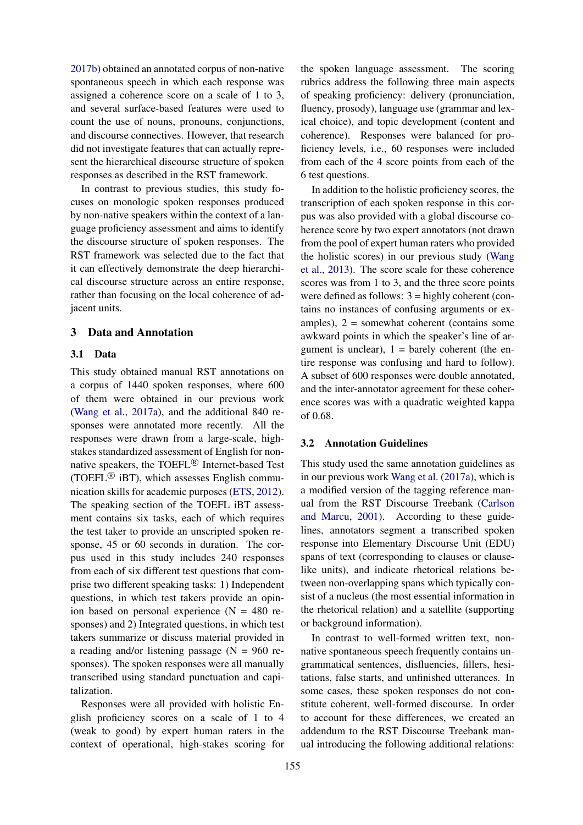[2017b\)](#page-9-18) obtained an annotated corpus of non-native spontaneous speech in which each response was assigned a coherence score on a scale of 1 to 3, and several surface-based features were used to count the use of nouns, pronouns, conjunctions, and discourse connectives. However, that research did not investigate features that can actually represent the hierarchical discourse structure of spoken responses as described in the RST framework.

In contrast to previous studies, this study focuses on monologic spoken responses produced by non-native speakers within the context of a language proficiency assessment and aims to identify the discourse structure of spoken responses. The RST framework was selected due to the fact that it can effectively demonstrate the deep hierarchical discourse structure across an entire response, rather than focusing on the local coherence of adjacent units.

## <span id="page-2-0"></span>3 Data and Annotation

#### <span id="page-2-1"></span>3.1 Data

This study obtained manual RST annotations on a corpus of 1440 spoken responses, where 600 of them were obtained in our previous work [\(Wang et al.,](#page-9-5) [2017a\)](#page-9-5), and the additional 840 responses were annotated more recently. All the responses were drawn from a large-scale, highstakes standardized assessment of English for nonnative speakers, the TOEFL<sup>®</sup> Internet-based Test (TOEFL<sup>®</sup> iBT), which assesses English communication skills for academic purposes [\(ETS,](#page-8-5) [2012\)](#page-8-5). The speaking section of the TOEFL iBT assessment contains six tasks, each of which requires the test taker to provide an unscripted spoken response, 45 or 60 seconds in duration. The corpus used in this study includes 240 responses from each of six different test questions that comprise two different speaking tasks: 1) Independent questions, in which test takers provide an opinion based on personal experience  $(N = 480$  responses) and 2) Integrated questions, in which test takers summarize or discuss material provided in a reading and/or listening passage  $(N = 960$  responses). The spoken responses were all manually transcribed using standard punctuation and capitalization.

Responses were all provided with holistic English proficiency scores on a scale of 1 to 4 (weak to good) by expert human raters in the context of operational, high-stakes scoring for the spoken language assessment. The scoring rubrics address the following three main aspects of speaking proficiency: delivery (pronunciation, fluency, prosody), language use (grammar and lexical choice), and topic development (content and coherence). Responses were balanced for proficiency levels, i.e., 60 responses were included from each of the 4 score points from each of the 6 test questions.

In addition to the holistic proficiency scores, the transcription of each spoken response in this corpus was also provided with a global discourse coherence score by two expert annotators (not drawn from the pool of expert human raters who provided the holistic scores) in our previous study [\(Wang](#page-9-17) [et al.,](#page-9-17) [2013\)](#page-9-17). The score scale for these coherence scores was from 1 to 3, and the three score points were defined as follows:  $3 =$  highly coherent (contains no instances of confusing arguments or examples),  $2 =$  somewhat coherent (contains some awkward points in which the speaker's line of argument is unclear),  $1 =$  barely coherent (the entire response was confusing and hard to follow). A subset of 600 responses were double annotated, and the inter-annotator agreement for these coherence scores was with a quadratic weighted kappa of 0.68.

#### 3.2 Annotation Guidelines

This study used the same annotation guidelines as in our previous work [Wang et al.](#page-9-5) [\(2017a\)](#page-9-5), which is a modified version of the tagging reference manual from the RST Discourse Treebank [\(Carlson](#page-8-19) [and Marcu,](#page-8-19) [2001\)](#page-8-19). According to these guidelines, annotators segment a transcribed spoken response into Elementary Discourse Unit (EDU) spans of text (corresponding to clauses or clauselike units), and indicate rhetorical relations between non-overlapping spans which typically consist of a nucleus (the most essential information in the rhetorical relation) and a satellite (supporting or background information).

In contrast to well-formed written text, nonnative spontaneous speech frequently contains ungrammatical sentences, disfluencies, fillers, hesitations, false starts, and unfinished utterances. In some cases, these spoken responses do not constitute coherent, well-formed discourse. In order to account for these differences, we created an addendum to the RST Discourse Treebank manual introducing the following additional relations: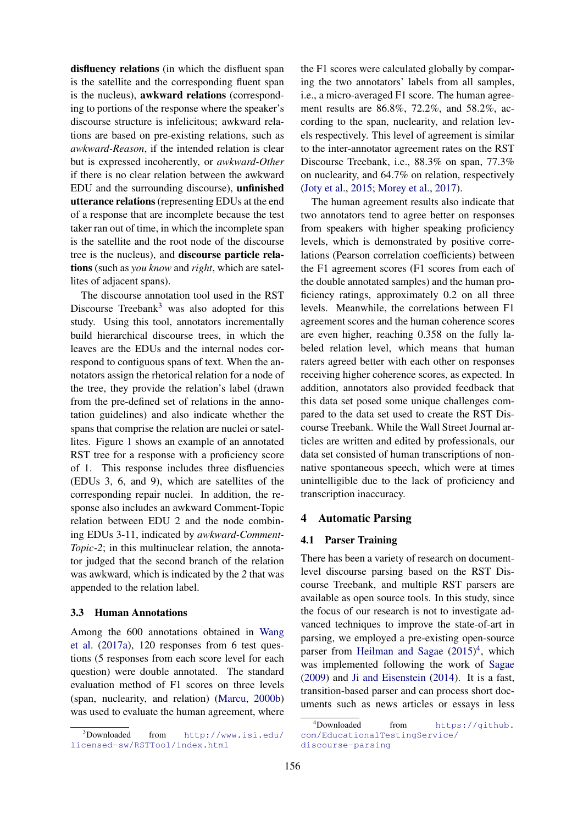disfluency relations (in which the disfluent span is the satellite and the corresponding fluent span is the nucleus), awkward relations (corresponding to portions of the response where the speaker's discourse structure is infelicitous; awkward relations are based on pre-existing relations, such as *awkward-Reason*, if the intended relation is clear but is expressed incoherently, or *awkward-Other* if there is no clear relation between the awkward EDU and the surrounding discourse), unfinished utterance relations(representing EDUs at the end of a response that are incomplete because the test taker ran out of time, in which the incomplete span is the satellite and the root node of the discourse tree is the nucleus), and discourse particle relations (such as *you know* and *right*, which are satellites of adjacent spans).

The discourse annotation tool used in the RST Discourse Treebank<sup>[3](#page-3-0)</sup> was also adopted for this study. Using this tool, annotators incrementally build hierarchical discourse trees, in which the leaves are the EDUs and the internal nodes correspond to contiguous spans of text. When the annotators assign the rhetorical relation for a node of the tree, they provide the relation's label (drawn from the pre-defined set of relations in the annotation guidelines) and also indicate whether the spans that comprise the relation are nuclei or satellites. Figure [1](#page-4-0) shows an example of an annotated RST tree for a response with a proficiency score of 1. This response includes three disfluencies (EDUs 3, 6, and 9), which are satellites of the corresponding repair nuclei. In addition, the response also includes an awkward Comment-Topic relation between EDU 2 and the node combining EDUs 3-11, indicated by *awkward-Comment-Topic-2*; in this multinuclear relation, the annotator judged that the second branch of the relation was awkward, which is indicated by the *2* that was appended to the relation label.

#### 3.3 Human Annotations

Among the 600 annotations obtained in [Wang](#page-9-5) [et al.](#page-9-5) [\(2017a\)](#page-9-5), 120 responses from 6 test questions (5 responses from each score level for each question) were double annotated. The standard evaluation method of F1 scores on three levels (span, nuclearity, and relation) [\(Marcu,](#page-8-20) [2000b\)](#page-8-20) was used to evaluate the human agreement, where the F1 scores were calculated globally by comparing the two annotators' labels from all samples, i.e., a micro-averaged F1 score. The human agreement results are 86.8%, 72.2%, and 58.2%, according to the span, nuclearity, and relation levels respectively. This level of agreement is similar to the inter-annotator agreement rates on the RST Discourse Treebank, i.e., 88.3% on span, 77.3% on nuclearity, and 64.7% on relation, respectively [\(Joty et al.,](#page-8-21) [2015;](#page-8-21) [Morey et al.,](#page-8-16) [2017\)](#page-8-16).

The human agreement results also indicate that two annotators tend to agree better on responses from speakers with higher speaking proficiency levels, which is demonstrated by positive correlations (Pearson correlation coefficients) between the F1 agreement scores (F1 scores from each of the double annotated samples) and the human proficiency ratings, approximately 0.2 on all three levels. Meanwhile, the correlations between F1 agreement scores and the human coherence scores are even higher, reaching 0.358 on the fully labeled relation level, which means that human raters agreed better with each other on responses receiving higher coherence scores, as expected. In addition, annotators also provided feedback that this data set posed some unique challenges compared to the data set used to create the RST Discourse Treebank. While the Wall Street Journal articles are written and edited by professionals, our data set consisted of human transcriptions of nonnative spontaneous speech, which were at times unintelligible due to the lack of proficiency and transcription inaccuracy.

## 4 Automatic Parsing

#### <span id="page-3-2"></span>4.1 Parser Training

There has been a variety of research on documentlevel discourse parsing based on the RST Discourse Treebank, and multiple RST parsers are available as open source tools. In this study, since the focus of our research is not to investigate advanced techniques to improve the state-of-art in parsing, we employed a pre-existing open-source parser from [Heilman and Sagae](#page-8-22) [\(2015\)](#page-8-22)<sup>[4](#page-3-1)</sup>, which was implemented following the work of [Sagae](#page-9-8) [\(2009\)](#page-9-8) and [Ji and Eisenstein](#page-8-13) [\(2014\)](#page-8-13). It is a fast, transition-based parser and can process short documents such as news articles or essays in less

<span id="page-3-0"></span> $3$ Downloaded from  $h$ ttp://www.isi.edu/ [licensed-sw/RSTTool/index.html](http://www.isi.edu/licensed-sw/RSTTool/index.html)

<span id="page-3-1"></span><sup>&</sup>lt;sup>4</sup>Downloaded from [https://github.](https://github.com/EducationalTestingService/discourse-parsing) [com/EducationalTestingService/](https://github.com/EducationalTestingService/discourse-parsing) [discourse-parsing](https://github.com/EducationalTestingService/discourse-parsing)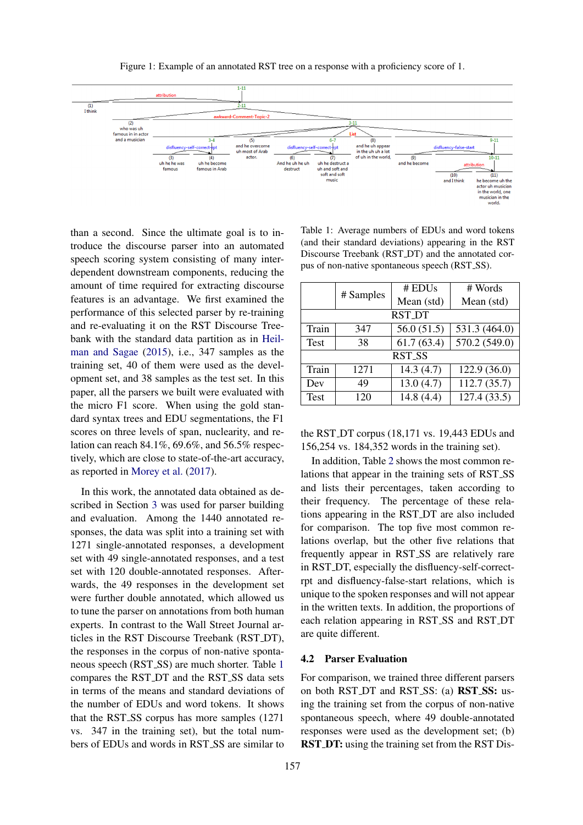Figure 1: Example of an annotated RST tree on a response with a proficiency score of 1.

<span id="page-4-0"></span>

than a second. Since the ultimate goal is to introduce the discourse parser into an automated speech scoring system consisting of many interdependent downstream components, reducing the amount of time required for extracting discourse features is an advantage. We first examined the performance of this selected parser by re-training and re-evaluating it on the RST Discourse Treebank with the standard data partition as in [Heil](#page-8-22)[man and Sagae](#page-8-22) [\(2015\)](#page-8-22), i.e., 347 samples as the training set, 40 of them were used as the development set, and 38 samples as the test set. In this paper, all the parsers we built were evaluated with the micro F1 score. When using the gold standard syntax trees and EDU segmentations, the F1 scores on three levels of span, nuclearity, and relation can reach 84.1%, 69.6%, and 56.5% respectively, which are close to state-of-the-art accuracy, as reported in [Morey et al.](#page-8-16) [\(2017\)](#page-8-16).

In this work, the annotated data obtained as described in Section [3](#page-2-0) was used for parser building and evaluation. Among the 1440 annotated responses, the data was split into a training set with 1271 single-annotated responses, a development set with 49 single-annotated responses, and a test set with 120 double-annotated responses. Afterwards, the 49 responses in the development set were further double annotated, which allowed us to tune the parser on annotations from both human experts. In contrast to the Wall Street Journal articles in the RST Discourse Treebank (RST DT), the responses in the corpus of non-native sponta-neous speech (RST<sub>-SS</sub>) are much shorter. Table [1](#page-4-1) compares the RST DT and the RST SS data sets in terms of the means and standard deviations of the number of EDUs and word tokens. It shows that the RST SS corpus has more samples (1271 vs. 347 in the training set), but the total numbers of EDUs and words in RST\_SS are similar to

<span id="page-4-1"></span>Table 1: Average numbers of EDUs and word tokens (and their standard deviations) appearing in the RST Discourse Treebank (RST DT) and the annotated corpus of non-native spontaneous speech (RST SS).

|               | # Samples | # EDUs       | # Words       |  |
|---------------|-----------|--------------|---------------|--|
|               |           | Mean (std)   | Mean (std)    |  |
| <b>RST_DT</b> |           |              |               |  |
| Train         | 347       | 56.0(51.5)   | 531.3 (464.0) |  |
| <b>Test</b>   | 38        | 61.7(63.4)   | 570.2 (549.0) |  |
| <b>RST_SS</b> |           |              |               |  |
| Train         | 1271      | 14.3(4.7)    | 122.9 (36.0)  |  |
| Dev           | 49        | 13.0(4.7)    | 112.7(35.7)   |  |
| Test          | 120       | 14.8 $(4.4)$ | 127.4(33.5)   |  |

the RST DT corpus (18,171 vs. 19,443 EDUs and 156,254 vs. 184,352 words in the training set).

In addition, Table [2](#page-5-0) shows the most common relations that appear in the training sets of RST SS and lists their percentages, taken according to their frequency. The percentage of these relations appearing in the RST DT are also included for comparison. The top five most common relations overlap, but the other five relations that frequently appear in RST<sub>-SS</sub> are relatively rare in RST DT, especially the disfluency-self-correctrpt and disfluency-false-start relations, which is unique to the spoken responses and will not appear in the written texts. In addition, the proportions of each relation appearing in RST<sub>SS</sub> and RST<sub>DT</sub> are quite different.

## 4.2 Parser Evaluation

For comparison, we trained three different parsers on both RST\_DT and RST\_SS: (a) RST\_SS: using the training set from the corpus of non-native spontaneous speech, where 49 double-annotated responses were used as the development set; (b) RST DT: using the training set from the RST Dis-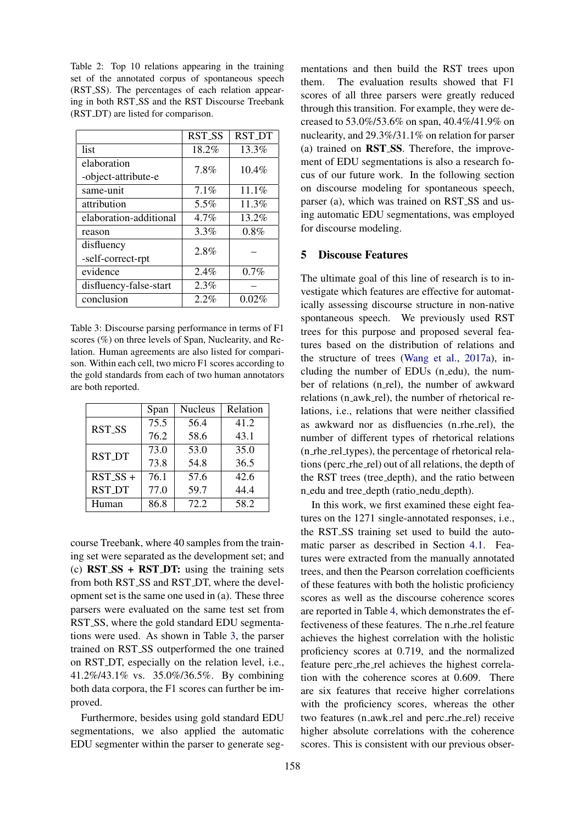<span id="page-5-0"></span>Table 2: Top 10 relations appearing in the training set of the annotated corpus of spontaneous speech (RST SS). The percentages of each relation appearing in both RST SS and the RST Discourse Treebank (RST DT) are listed for comparison.

|                        | RST_SS  | <b>RST_DT</b> |
|------------------------|---------|---------------|
| list                   | 18.2%   | 13.3%         |
| elaboration            | 7.8%    | 10.4%         |
| -object-attribute-e    |         |               |
| same-unit              | $7.1\%$ | $11.1\%$      |
| attribution            | $5.5\%$ | 11.3%         |
| elaboration-additional | 4.7%    | 13.2%         |
| reason                 | $3.3\%$ | $0.8\%$       |
| disfluency             | 2.8%    |               |
| -self-correct-rpt      |         |               |
| evidence               | 2.4%    | 0.7%          |
| disfluency-false-start | 2.3%    |               |
| conclusion             | 2.2%    | $0.02\%$      |

<span id="page-5-1"></span>Table 3: Discourse parsing performance in terms of F1 scores (%) on three levels of Span, Nuclearity, and Relation. Human agreements are also listed for comparison. Within each cell, two micro F1 scores according to the gold standards from each of two human annotators are both reported.

|               | Span | Nucleus | Relation |
|---------------|------|---------|----------|
| <b>RST_SS</b> | 75.5 | 56.4    | 41.2     |
|               | 76.2 | 58.6    | 43.1     |
| <b>RST_DT</b> | 73.0 | 53.0    | 35.0     |
|               | 73.8 | 54.8    | 36.5     |
| $RST_SS +$    | 76.1 | 57.6    | 42.6     |
| <b>RST_DT</b> | 77.0 | 59.7    | 44.4     |
| Human         | 86.8 | 72.2    | 58.2     |

course Treebank, where 40 samples from the training set were separated as the development set; and (c)  $RST$   $SS$  +  $RST$   $DT$ : using the training sets from both RST\_SS and RST\_DT, where the development set is the same one used in (a). These three parsers were evaluated on the same test set from RST\_SS, where the gold standard EDU segmentations were used. As shown in Table [3,](#page-5-1) the parser trained on RST SS outperformed the one trained on RST DT, especially on the relation level, i.e., 41.2%/43.1% vs. 35.0%/36.5%. By combining both data corpora, the F1 scores can further be improved.

Furthermore, besides using gold standard EDU segmentations, we also applied the automatic EDU segmenter within the parser to generate seg-

mentations and then build the RST trees upon them. The evaluation results showed that F1 scores of all three parsers were greatly reduced through this transition. For example, they were decreased to 53.0%/53.6% on span, 40.4%/41.9% on nuclearity, and 29.3%/31.1% on relation for parser (a) trained on RST SS. Therefore, the improvement of EDU segmentations is also a research focus of our future work. In the following section on discourse modeling for spontaneous speech, parser (a), which was trained on RST\_SS and using automatic EDU segmentations, was employed for discourse modeling.

## 5 Discouse Features

The ultimate goal of this line of research is to investigate which features are effective for automatically assessing discourse structure in non-native spontaneous speech. We previously used RST trees for this purpose and proposed several features based on the distribution of relations and the structure of trees [\(Wang et al.,](#page-9-5) [2017a\)](#page-9-5), including the number of EDUs (n\_edu), the number of relations (n\_rel), the number of awkward relations (n awk rel), the number of rhetorical relations, i.e., relations that were neither classified as awkward nor as disfluencies (n rhe rel), the number of different types of rhetorical relations (n rhe rel types), the percentage of rhetorical relations (perc rhe rel) out of all relations, the depth of the RST trees (tree depth), and the ratio between n edu and tree depth (ratio nedu depth).

In this work, we first examined these eight features on the 1271 single-annotated responses, i.e., the RST SS training set used to build the automatic parser as described in Section [4.1.](#page-3-2) Features were extracted from the manually annotated trees, and then the Pearson correlation coefficients of these features with both the holistic proficiency scores as well as the discourse coherence scores are reported in Table [4,](#page-6-0) which demonstrates the effectiveness of these features. The n\_rhe\_rel feature achieves the highest correlation with the holistic proficiency scores at 0.719, and the normalized feature perc rhe rel achieves the highest correlation with the coherence scores at 0.609. There are six features that receive higher correlations with the proficiency scores, whereas the other two features (n\_awk\_rel and perc\_rhe\_rel) receive higher absolute correlations with the coherence scores. This is consistent with our previous obser-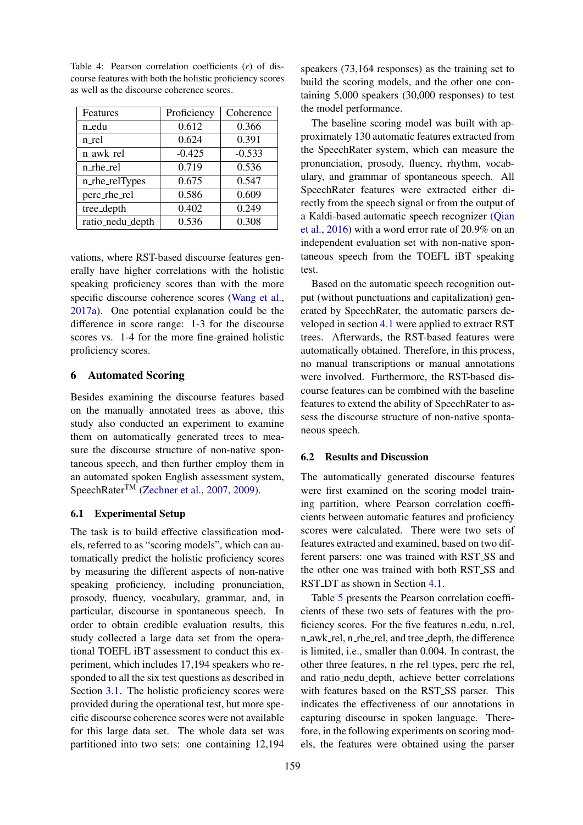| Features         | Proficiency | Coherence |
|------------------|-------------|-----------|
| n_edu            | 0.612       | 0.366     |
| n_rel            | 0.624       | 0.391     |
| n_awk_rel        | $-0.425$    | $-0.533$  |
| n_rhe_rel        | 0.719       | 0.536     |
| n_rhe_relTypes   | 0.675       | 0.547     |
| perc_rhe_rel     | 0.586       | 0.609     |
| tree_depth       | 0.402       | 0.249     |
| ratio_nedu_depth | 0.536       | 0.308     |

<span id="page-6-0"></span>Table 4: Pearson correlation coefficients (*r*) of discourse features with both the holistic proficiency scores as well as the discourse coherence scores.

vations, where RST-based discourse features generally have higher correlations with the holistic speaking proficiency scores than with the more specific discourse coherence scores [\(Wang et al.,](#page-9-5) [2017a\)](#page-9-5). One potential explanation could be the difference in score range: 1-3 for the discourse scores vs. 1-4 for the more fine-grained holistic proficiency scores.

## 6 Automated Scoring

Besides examining the discourse features based on the manually annotated trees as above, this study also conducted an experiment to examine them on automatically generated trees to measure the discourse structure of non-native spontaneous speech, and then further employ them in an automated spoken English assessment system, SpeechRater<sup>™</sup> [\(Zechner et al.,](#page-9-19) [2007,](#page-9-19) [2009\)](#page-9-0).

#### 6.1 Experimental Setup

The task is to build effective classification models, referred to as "scoring models", which can automatically predict the holistic proficiency scores by measuring the different aspects of non-native speaking proficiency, including pronunciation, prosody, fluency, vocabulary, grammar, and, in particular, discourse in spontaneous speech. In order to obtain credible evaluation results, this study collected a large data set from the operational TOEFL iBT assessment to conduct this experiment, which includes 17,194 speakers who responded to all the six test questions as described in Section [3.1.](#page-2-1) The holistic proficiency scores were provided during the operational test, but more specific discourse coherence scores were not available for this large data set. The whole data set was partitioned into two sets: one containing 12,194

speakers (73,164 responses) as the training set to build the scoring models, and the other one containing 5,000 speakers (30,000 responses) to test the model performance.

The baseline scoring model was built with approximately 130 automatic features extracted from the SpeechRater system, which can measure the pronunciation, prosody, fluency, rhythm, vocabulary, and grammar of spontaneous speech. All SpeechRater features were extracted either directly from the speech signal or from the output of a Kaldi-based automatic speech recognizer [\(Qian](#page-9-4) [et al.,](#page-9-4) [2016\)](#page-9-4) with a word error rate of 20.9% on an independent evaluation set with non-native spontaneous speech from the TOEFL iBT speaking test.

Based on the automatic speech recognition output (without punctuations and capitalization) generated by SpeechRater, the automatic parsers developed in section [4.1](#page-3-2) were applied to extract RST trees. Afterwards, the RST-based features were automatically obtained. Therefore, in this process, no manual transcriptions or manual annotations were involved. Furthermore, the RST-based discourse features can be combined with the baseline features to extend the ability of SpeechRater to assess the discourse structure of non-native spontaneous speech.

#### 6.2 Results and Discussion

The automatically generated discourse features were first examined on the scoring model training partition, where Pearson correlation coefficients between automatic features and proficiency scores were calculated. There were two sets of features extracted and examined, based on two different parsers: one was trained with RST SS and the other one was trained with both RST SS and RST\_DT as shown in Section [4.1.](#page-3-2)

Table [5](#page-7-2) presents the Pearson correlation coefficients of these two sets of features with the proficiency scores. For the five features n\_edu, n\_rel, n awk rel, n rhe rel, and tree depth, the difference is limited, i.e., smaller than 0.004. In contrast, the other three features, n rhe rel types, perc rhe rel, and ratio nedu depth, achieve better correlations with features based on the RST<sub>-SS</sub> parser. This indicates the effectiveness of our annotations in capturing discourse in spoken language. Therefore, in the following experiments on scoring models, the features were obtained using the parser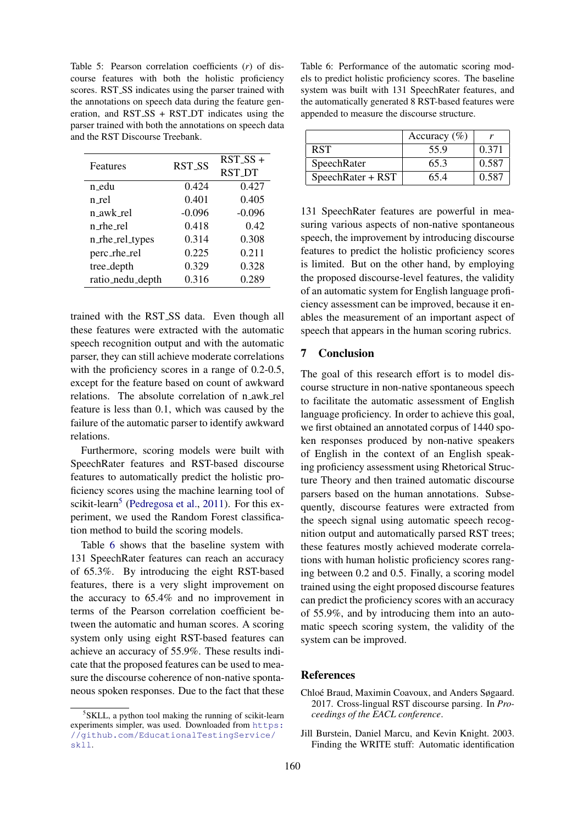<span id="page-7-2"></span>Table 5: Pearson correlation coefficients (*r*) of discourse features with both the holistic proficiency scores. RST\_SS indicates using the parser trained with the annotations on speech data during the feature generation, and RST\_SS + RST\_DT indicates using the parser trained with both the annotations on speech data and the RST Discourse Treebank.

|                                    | <b>RST_SS</b> | $RST_SS +$    |
|------------------------------------|---------------|---------------|
| Features                           |               | <b>RST_DT</b> |
| n edu                              | 0.424         | 0.427         |
| n rel                              | 0.401         | 0.405         |
| n awk rel                          | $-0.096$      | $-0.096$      |
| $n$ <sub>-rhe<sub>-rel</sub></sub> | 0.418         | 0.42          |
| n_rhe_rel_types                    | 0.314         | 0.308         |
| perc_rhe_rel                       | 0.225         | 0.211         |
| tree_depth                         | 0.329         | 0.328         |
| ratio_nedu_depth                   | 0.316         | 0.289         |

trained with the RST SS data. Even though all these features were extracted with the automatic speech recognition output and with the automatic parser, they can still achieve moderate correlations with the proficiency scores in a range of 0.2-0.5, except for the feature based on count of awkward relations. The absolute correlation of n awk rel feature is less than 0.1, which was caused by the failure of the automatic parser to identify awkward relations.

Furthermore, scoring models were built with SpeechRater features and RST-based discourse features to automatically predict the holistic proficiency scores using the machine learning tool of scikit-learn<sup>[5](#page-7-3)</sup> [\(Pedregosa et al.,](#page-9-20) [2011\)](#page-9-20). For this experiment, we used the Random Forest classification method to build the scoring models.

Table [6](#page-7-4) shows that the baseline system with 131 SpeechRater features can reach an accuracy of 65.3%. By introducing the eight RST-based features, there is a very slight improvement on the accuracy to 65.4% and no improvement in terms of the Pearson correlation coefficient between the automatic and human scores. A scoring system only using eight RST-based features can achieve an accuracy of 55.9%. These results indicate that the proposed features can be used to measure the discourse coherence of non-native spontaneous spoken responses. Due to the fact that these

<span id="page-7-4"></span>Table 6: Performance of the automatic scoring models to predict holistic proficiency scores. The baseline system was built with 131 SpeechRater features, and the automatically generated 8 RST-based features were appended to measure the discourse structure.

|                   | Accuracy $(\% )$ |       |
|-------------------|------------------|-------|
| <b>RST</b>        | 55.9             | 0.371 |
| SpeechRater       | 65.3             | 0.587 |
| SpeechRater + RST | 65.4             | 0.587 |

131 SpeechRater features are powerful in measuring various aspects of non-native spontaneous speech, the improvement by introducing discourse features to predict the holistic proficiency scores is limited. But on the other hand, by employing the proposed discourse-level features, the validity of an automatic system for English language proficiency assessment can be improved, because it enables the measurement of an important aspect of speech that appears in the human scoring rubrics.

# 7 Conclusion

The goal of this research effort is to model discourse structure in non-native spontaneous speech to facilitate the automatic assessment of English language proficiency. In order to achieve this goal, we first obtained an annotated corpus of 1440 spoken responses produced by non-native speakers of English in the context of an English speaking proficiency assessment using Rhetorical Structure Theory and then trained automatic discourse parsers based on the human annotations. Subsequently, discourse features were extracted from the speech signal using automatic speech recognition output and automatically parsed RST trees; these features mostly achieved moderate correlations with human holistic proficiency scores ranging between 0.2 and 0.5. Finally, a scoring model trained using the eight proposed discourse features can predict the proficiency scores with an accuracy of 55.9%, and by introducing them into an automatic speech scoring system, the validity of the system can be improved.

# References

- <span id="page-7-0"></span>Chloé Braud, Maximin Coavoux, and Anders Søgaard. 2017. Cross-lingual RST discourse parsing. In *Proceedings of the EACL conference*.
- <span id="page-7-1"></span>Jill Burstein, Daniel Marcu, and Kevin Knight. 2003. Finding the WRITE stuff: Automatic identification

<span id="page-7-3"></span><sup>&</sup>lt;sup>5</sup>SKLL, a python tool making the running of scikit-learn experiments simpler, was used. Downloaded from [https:](https://github.com/EducationalTestingService/skll) [//github.com/EducationalTestingService/](https://github.com/EducationalTestingService/skll) [skll](https://github.com/EducationalTestingService/skll).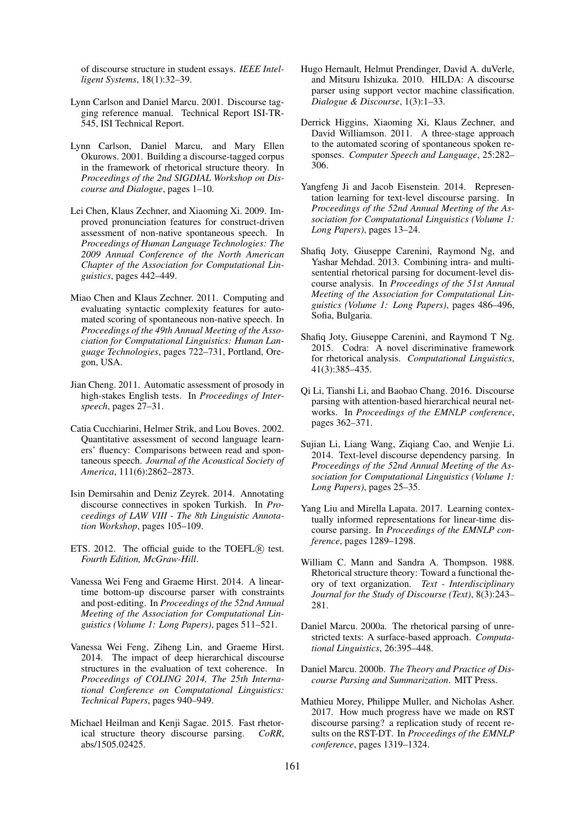of discourse structure in student essays. *IEEE Intelligent Systems*, 18(1):32–39.

- <span id="page-8-19"></span>Lynn Carlson and Daniel Marcu. 2001. Discourse tagging reference manual. Technical Report ISI-TR-545, ISI Technical Report.
- <span id="page-8-7"></span>Lynn Carlson, Daniel Marcu, and Mary Ellen Okurows. 2001. Building a discourse-tagged corpus in the framework of rhetorical structure theory. In *Proceedings of the 2nd SIGDIAL Workshop on Discourse and Dialogue*, pages 1–10.
- <span id="page-8-2"></span>Lei Chen, Klaus Zechner, and Xiaoming Xi. 2009. Improved pronunciation features for construct-driven assessment of non-native spontaneous speech. In *Proceedings of Human Language Technologies: The 2009 Annual Conference of the North American Chapter of the Association for Computational Linguistics*, pages 442–449.
- <span id="page-8-4"></span>Miao Chen and Klaus Zechner. 2011. Computing and evaluating syntactic complexity features for automated scoring of spontaneous non-native speech. In *Proceedings of the 49th Annual Meeting of the Association for Computational Linguistics: Human Language Technologies*, pages 722–731, Portland, Oregon, USA.
- <span id="page-8-3"></span>Jian Cheng. 2011. Automatic assessment of prosody in high-stakes English tests. In *Proceedings of Interspeech*, pages 27–31.
- <span id="page-8-1"></span>Catia Cucchiarini, Helmer Strik, and Lou Boves. 2002. Quantitative assessment of second language learners' fluency: Comparisons between read and spontaneous speech. *Journal of the Acoustical Society of America*, 111(6):2862–2873.
- <span id="page-8-18"></span>Isin Demirsahin and Deniz Zeyrek. 2014. Annotating discourse connectives in spoken Turkish. In *Proceedings of LAW VIII - The 8th Linguistic Annotation Workshop*, pages 105–109.
- <span id="page-8-5"></span>ETS. 2012. The official guide to the TOEFL $(R)$  test. *Fourth Edition, McGraw-Hill*.
- <span id="page-8-11"></span>Vanessa Wei Feng and Graeme Hirst. 2014. A lineartime bottom-up discourse parser with constraints and post-editing. In *Proceedings of the 52nd Annual Meeting of the Association for Computational Linguistics (Volume 1: Long Papers)*, pages 511–521.
- <span id="page-8-17"></span>Vanessa Wei Feng, Ziheng Lin, and Graeme Hirst. 2014. The impact of deep hierarchical discourse structures in the evaluation of text coherence. In *Proceedings of COLING 2014, The 25th International Conference on Computational Linguistics: Technical Papers*, pages 940–949.
- <span id="page-8-22"></span>Michael Heilman and Kenji Sagae. 2015. Fast rhetorical structure theory discourse parsing. *CoRR*, abs/1505.02425.
- <span id="page-8-9"></span>Hugo Hernault, Helmut Prendinger, David A. duVerle, and Mitsuru Ishizuka. 2010. HILDA: A discourse parser using support vector machine classification. *Dialogue & Discourse*, 1(3):1–33.
- <span id="page-8-0"></span>Derrick Higgins, Xiaoming Xi, Klaus Zechner, and David Williamson. 2011. A three-stage approach to the automated scoring of spontaneous spoken responses. *Computer Speech and Language*, 25:282– 306.
- <span id="page-8-13"></span>Yangfeng Ji and Jacob Eisenstein. 2014. Representation learning for text-level discourse parsing. In *Proceedings of the 52nd Annual Meeting of the Association for Computational Linguistics (Volume 1: Long Papers)*, pages 13–24.
- <span id="page-8-10"></span>Shafiq Joty, Giuseppe Carenini, Raymond Ng, and Yashar Mehdad. 2013. Combining intra- and multisentential rhetorical parsing for document-level discourse analysis. In *Proceedings of the 51st Annual Meeting of the Association for Computational Linguistics (Volume 1: Long Papers)*, pages 486–496, Sofia, Bulgaria.
- <span id="page-8-21"></span>Shafiq Joty, Giuseppe Carenini, and Raymond T Ng. 2015. Codra: A novel discriminative framework for rhetorical analysis. *Computational Linguistics*, 41(3):385–435.
- <span id="page-8-14"></span>Qi Li, Tianshi Li, and Baobao Chang. 2016. Discourse parsing with attention-based hierarchical neural networks. In *Proceedings of the EMNLP conference*, pages 362–371.
- <span id="page-8-12"></span>Sujian Li, Liang Wang, Ziqiang Cao, and Wenjie Li. 2014. Text-level discourse dependency parsing. In *Proceedings of the 52nd Annual Meeting of the Association for Computational Linguistics (Volume 1: Long Papers)*, pages 25–35.
- <span id="page-8-15"></span>Yang Liu and Mirella Lapata. 2017. Learning contextually informed representations for linear-time discourse parsing. In *Proceedings of the EMNLP conference*, pages 1289–1298.
- <span id="page-8-6"></span>William C. Mann and Sandra A. Thompson. 1988. Rhetorical structure theory: Toward a functional theory of text organization. *Text - Interdisciplinary Journal for the Study of Discourse (Text)*, 8(3):243– 281.
- <span id="page-8-8"></span>Daniel Marcu. 2000a. The rhetorical parsing of unrestricted texts: A surface-based approach. *Computational Linguistics*, 26:395–448.
- <span id="page-8-20"></span>Daniel Marcu. 2000b. *The Theory and Practice of Discourse Parsing and Summarization*. MIT Press.
- <span id="page-8-16"></span>Mathieu Morey, Philippe Muller, and Nicholas Asher. 2017. How much progress have we made on RST discourse parsing? a replication study of recent results on the RST-DT. In *Proceedings of the EMNLP conference*, pages 1319–1324.